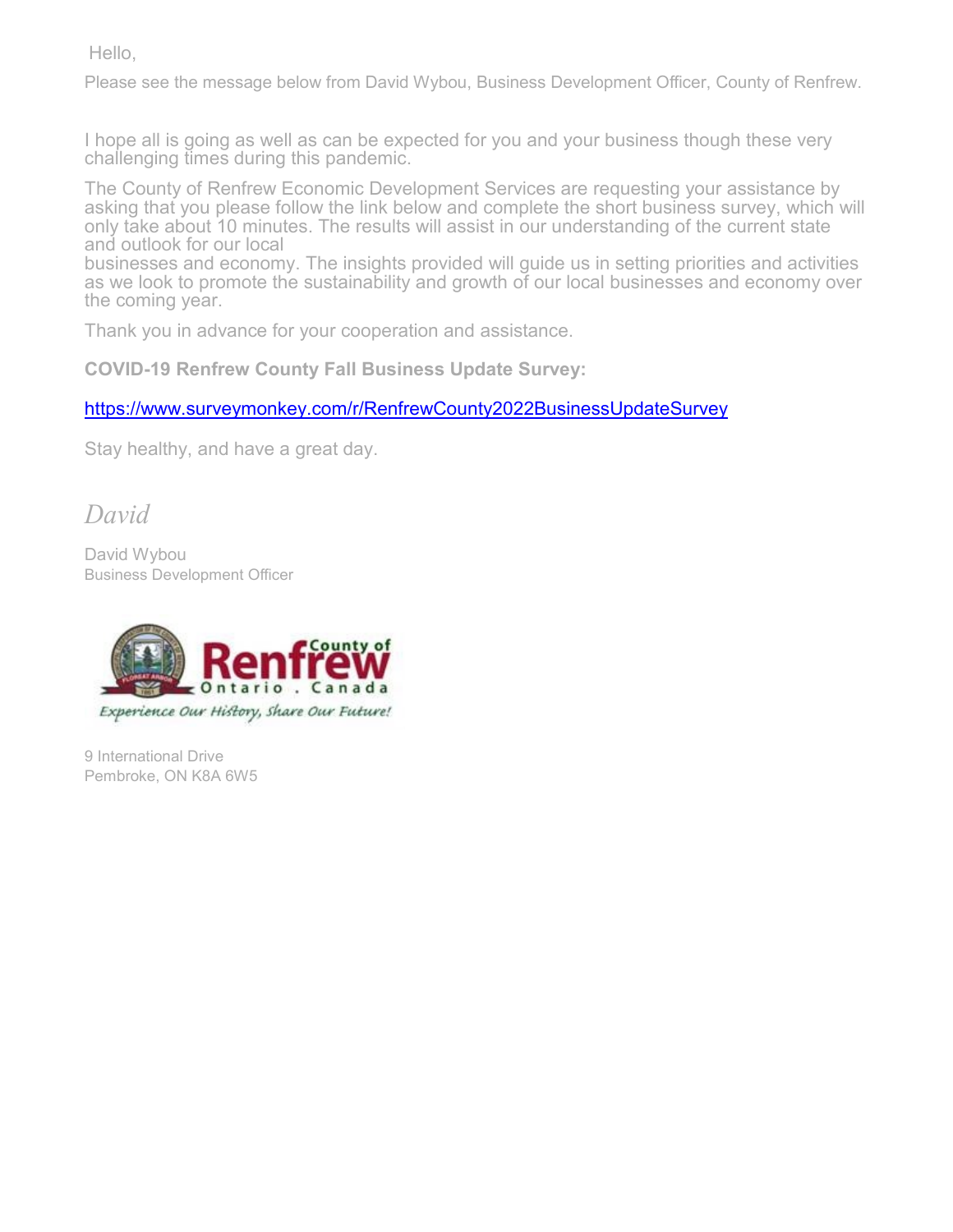Hello,

Please see the message below from David Wybou, Business Development Officer, County of Renfrew.

I hope all is going as well as can be expected for you and your business though these very challenging times during this pandemic.

The County of Renfrew Economic Development Services are requesting your assistance by asking that you please follow the link below and complete the short business survey, which will only take about 10 minutes. The results will assist in our understanding of the current state and outlook for our local

businesses and economy. The insights provided will guide us in setting priorities and activities as we look to promote the sustainability and growth of our local businesses and economy over the coming year.

Thank you in advance for your cooperation and assistance.

**COVID-19 Renfrew County Fall Business Update Survey:**

<https://www.surveymonkey.com/r/RenfrewCounty2022BusinessUpdateSurvey>

Stay healthy, and have a great day.

*David*

David Wybou Business Development Officer



9 International Drive Pembroke, ON K8A 6W5